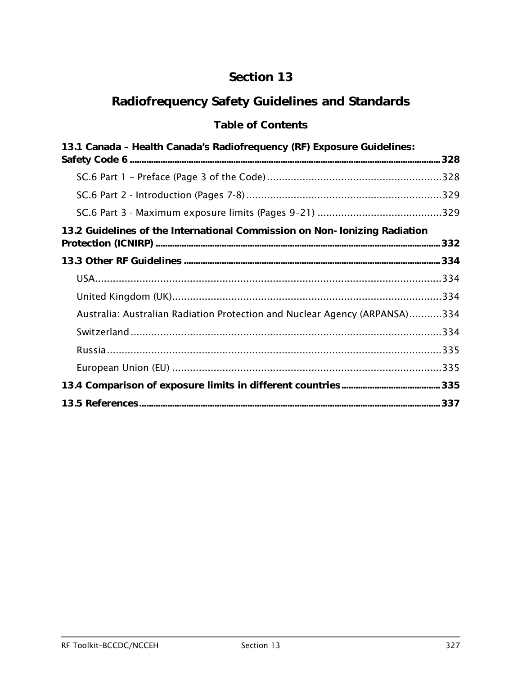## Section 13

# Radiofrequency Safety Guidelines and Standards

## Table of Contents

| 13.1 Canada - Health Canada's Radiofrequency (RF) Exposure Guidelines:     |  |
|----------------------------------------------------------------------------|--|
|                                                                            |  |
|                                                                            |  |
|                                                                            |  |
|                                                                            |  |
| 13.2 Guidelines of the International Commission on Non-Ionizing Radiation  |  |
|                                                                            |  |
|                                                                            |  |
|                                                                            |  |
|                                                                            |  |
| Australia: Australian Radiation Protection and Nuclear Agency (ARPANSA)334 |  |
|                                                                            |  |
|                                                                            |  |
|                                                                            |  |
|                                                                            |  |
|                                                                            |  |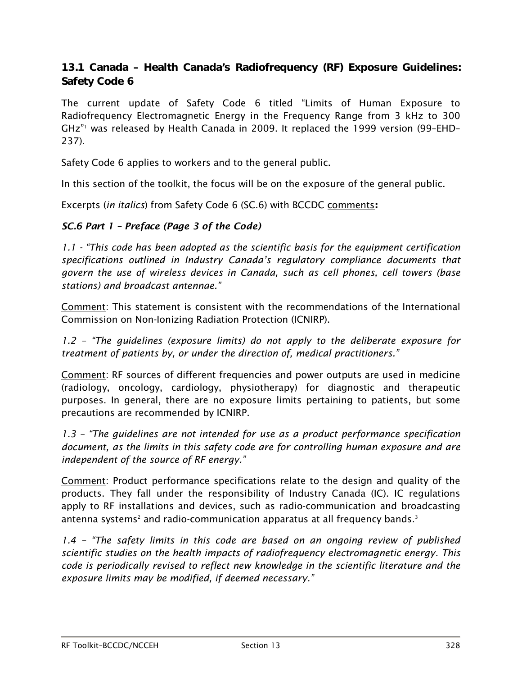## <span id="page-1-0"></span>13.1 Canada – Health Canada's Radiofrequency (RF) Exposure Guidelines: Safety Code 6

The current update of Safety Code 6 titled "Limits of Human Exposure to Radiofrequency Electromagnetic Energy in the Frequency Range from 3 kHz to 300 GHz["1](#page-10-1) was released by Health Canada in 2009. It replaced the 1999 version (99–EHD– 237).

Safety Code 6 applies to workers and to the general public.

In this section of the toolkit, the focus will be on the exposure of the general public.

Excerpts (*in italics*) from Safety Code 6 (SC.6) with BCCDC comments:

#### <span id="page-1-1"></span>*SC.6 Part 1 – Preface (Page 3 of the Code)*

*1.1 - "This code has been adopted as the scientific basis for the equipment certification specifications outlined in Industry Canada's regulatory compliance documents that govern the use of wireless devices in Canada, such as cell phones, cell towers (base stations) and broadcast antennae."*

Comment: This statement is consistent with the recommendations of the International Commission on Non-Ionizing Radiation Protection (ICNIRP).

*1.2 – "The guidelines (exposure limits) do not apply to the deliberate exposure for treatment of patients by, or under the direction of, medical practitioners."*

Comment: RF sources of different frequencies and power outputs are used in medicine (radiology, oncology, cardiology, physiotherapy) for diagnostic and therapeutic purposes. In general, there are no exposure limits pertaining to patients, but some precautions are recommended by ICNIRP.

*1.3 – "The guidelines are not intended for use as a product performance specification document, as the limits in this safety code are for controlling human exposure and are independent of the source of RF energy."*

Comment: Product performance specifications relate to the design and quality of the products. They fall under the responsibility of Industry Canada (IC). IC regulations apply to RF installations and devices, such as radio-communication and broadcasting antenna systems $^{\scriptscriptstyle 2}$  and radio-communication apparatus at all frequency bands[.](#page-10-3) $^{\scriptscriptstyle 3}$ 

*1.4 – "The safety limits in this code are based on an ongoing review of published scientific studies on the health impacts of radiofrequency electromagnetic energy. This code is periodically revised to reflect new knowledge in the scientific literature and the exposure limits may be modified, if deemed necessary."*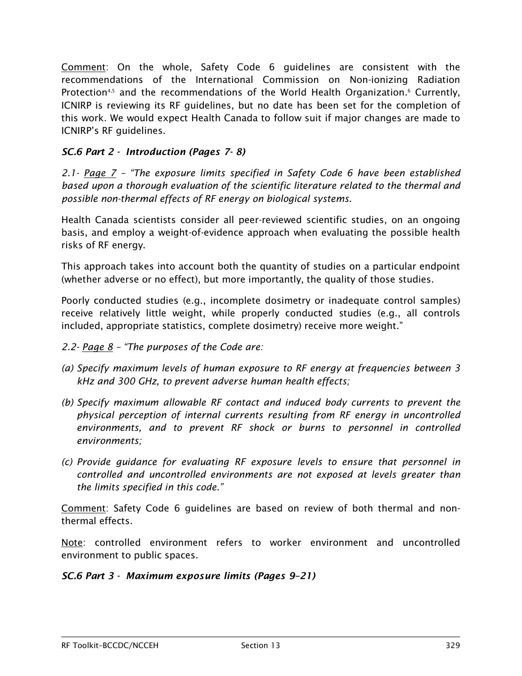Comment: On the whole, Safety Code 6 guidelines are consistent with the recommendations of the International Commission on Non-ionizing Radiation Protection<sup>4,[5](#page-10-5)</sup> and the recommendations of the World Health Organization[.](#page-10-6)<sup>6</sup> Currently, ICNIRP is reviewing its RF guidelines, but no date has been set for the completion of this work. We would expect Health Canada to follow suit if major changes are made to ICNIRP's RF guidelines.

### <span id="page-2-0"></span>*SC.6 Part 2 - Introduction (Pages 7- 8)*

*2.1- Page 7 – "The exposure limits specified in Safety Code 6 have been established based upon a thorough evaluation of the scientific literature related to the thermal and possible non-thermal effects of RF energy on biological systems.* 

Health Canada scientists consider all peer-reviewed scientific studies, on an ongoing basis, and employ a weight-of-evidence approach when evaluating the possible health risks of RF energy.

This approach takes into account both the quantity of studies on a particular endpoint (whether adverse or no effect), but more importantly, the quality of those studies.

Poorly conducted studies (e.g., incomplete dosimetry or inadequate control samples) receive relatively little weight, while properly conducted studies (e.g., all controls included, appropriate statistics, complete dosimetry) receive more weight."

- *2.2- Page 8 – "The purposes of the Code are:*
- *(a) Specify maximum levels of human exposure to RF energy at frequencies between 3 kHz and 300 GHz, to prevent adverse human health effects;*
- *(b) Specify maximum allowable RF contact and induced body currents to prevent the physical perception of internal currents resulting from RF energy in uncontrolled environments, and to prevent RF shock or burns to personnel in controlled environments;*
- *(c) Provide guidance for evaluating RF exposure levels to ensure that personnel in controlled and uncontrolled environments are not exposed at levels greater than the limits specified in this code."*

Comment: Safety Code 6 guidelines are based on review of both thermal and nonthermal effects.

Note: controlled environment refers to worker environment and uncontrolled environment to public spaces.

#### <span id="page-2-1"></span>*SC.6 Part 3 - Maximum exposure limits (Pages 9–21)*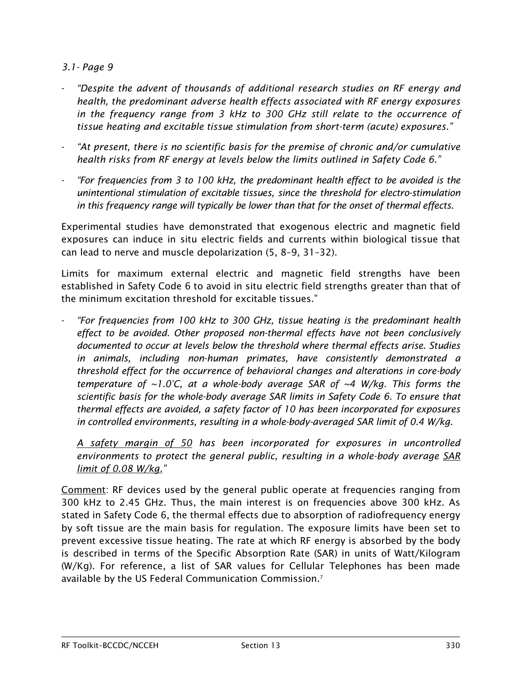#### *3.1- Page 9*

- *"Despite the advent of thousands of additional research studies on RF energy and health, the predominant adverse health effects associated with RF energy exposures in the frequency range from 3 kHz to 300 GHz still relate to the occurrence of tissue heating and excitable tissue stimulation from short-term (acute) exposures."*
- *"At present, there is no scientific basis for the premise of chronic and/or cumulative health risks from RF energy at levels below the limits outlined in Safety Code 6."*
- *"For frequencies from 3 to 100 kHz, the predominant health effect to be avoided is the unintentional stimulation of excitable tissues, since the threshold for electro-stimulation in this frequency range will typically be lower than that for the onset of thermal effects.*

Experimental studies have demonstrated that exogenous electric and magnetic field exposures can induce in situ electric fields and currents within biological tissue that can lead to nerve and muscle depolarization (5, 8–9, 31–32).

Limits for maximum external electric and magnetic field strengths have been established in Safety Code 6 to avoid in situ electric field strengths greater than that of the minimum excitation threshold for excitable tissues."

- *"For frequencies from 100 kHz to 300 GHz, tissue heating is the predominant health effect to be avoided. Other proposed non-thermal effects have not been conclusively documented to occur at levels below the threshold where thermal effects arise. Studies in animals, including non-human primates, have consistently demonstrated a threshold effect for the occurrence of behavioral changes and alterations in core-body temperature of ~1.0°C, at a whole-body average SAR of ~4 W/kg. This forms the scientific basis for the whole-body average SAR limits in Safety Code 6. To ensure that thermal effects are avoided, a safety factor of 10 has been incorporated for exposures in controlled environments, resulting in a whole-body-averaged SAR limit of 0.4 W/kg.*

*A safety margin of 50 has been incorporated for exposures in uncontrolled environments to protect the general public, resulting in a whole-body average SAR limit of 0.08 W/kg."*

Comment: RF devices used by the general public operate at frequencies ranging from 300 kHz to 2.45 GHz. Thus, the main interest is on frequencies above 300 kHz. As stated in Safety Code 6, the thermal effects due to absorption of radiofrequency energy by soft tissue are the main basis for regulation. The exposure limits have been set to prevent excessive tissue heating. The rate at which RF energy is absorbed by the body is described in terms of the Specific Absorption Rate (SAR) in units of Watt/Kilogram (W/Kg). For reference, a list of SAR values for Cellular Telephones has been made available by the US Federal Communication Commission[.7](#page-10-7)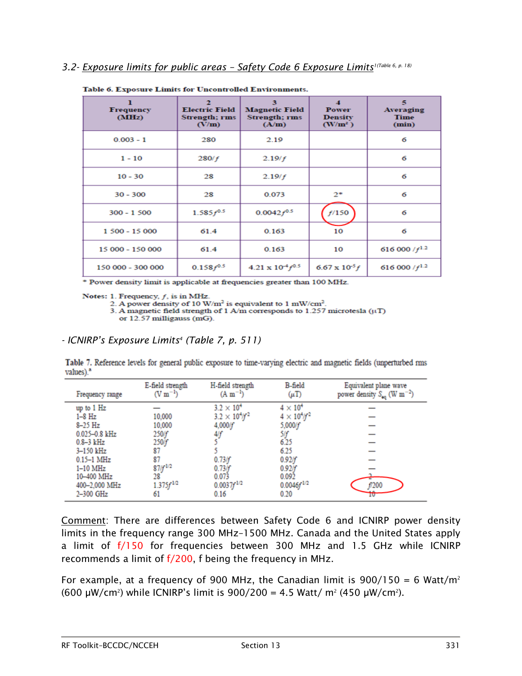#### *3.2- Exposure limits for public areas – Safety Code 6 Exposure Limit[s1\(T](#page-10-1)able 6, p. 18)*

| п<br><b>Frequency</b><br>(MHz) | <b>Electric Field</b><br>Strength; rms<br>(V/m) | з<br><b>Magnetic Field</b><br><b>Strength; rms</b><br>(A/m) | л<br><b>Power</b><br><b>Density</b><br>$(W/m^2)$ | 5<br>Averaging<br><b>Time</b><br>(min) |
|--------------------------------|-------------------------------------------------|-------------------------------------------------------------|--------------------------------------------------|----------------------------------------|
| $0.003 - 1$                    | 280                                             | 2.19                                                        |                                                  | 6                                      |
| $1 - 10$                       | 280/f                                           | 2.19/f                                                      |                                                  | 6                                      |
| $10 - 30$                      | 28                                              | 2.19/f                                                      |                                                  | 6                                      |
| $30 - 300$                     | 28                                              | 0.073                                                       | $2^*$                                            | 6                                      |
| $300 - 1500$                   | $1.585f^{0.5}$                                  | $0.0042 f^{0.5}$                                            | f/150                                            | 6                                      |
| 1 500 - 15 000                 | 61.4                                            | 0.163                                                       | 10                                               | 6                                      |
| 15 000 - 150 000               | 61.4                                            | 0.163                                                       | 10                                               | 616 000 / $f^{1.2}$                    |
| 150 000 - 300 000              | $0.158 f^{0.5}$                                 | $4.21 \times 10^{-4} f^{0.5}$                               | $6.67 \times 10^{-5} f$                          | 616 000 / $f^{1,2}$                    |

Table 6. Exposure Limits for Uncontrolled Environments.

\* Power density limit is applicable at frequencies greater than 100 MHz.

Notes: 1. Frequency,  $f$ , is in MHz.

2. A power density of  $10 \text{ W/m}^2$  is equivalent to  $1 \text{ mW/cm}^2$ .

3. A magnetic field strength of 1 A/m corresponds to 1.257 microtesla ( $\mu$ T) or 12.57 milligauss (mG).

#### *- ICNIRP's Exposure Limit[s4](#page-10-4) (Table 7, p. 511)*

Table 7. Reference levels for general public exposure to time-varying electric and magnetic fields (unperturbed rms  $values)$ .

| Frequency range | E-field strength<br>$(V m^{-1})$ | H-field strength<br>$(A m^{-1})$ | B-field<br>$(\mu T)$    | Equivalent plane wave<br>power density $S_{eq}$ (W m <sup>-2</sup> ) |
|-----------------|----------------------------------|----------------------------------|-------------------------|----------------------------------------------------------------------|
| up to 1 Hz      |                                  | $3.2 \times 10^{4}$              | $4 \times 10^4$         |                                                                      |
| 1-8 Hz          | 10,000                           | $3.2 \times 10^{4}/f^{2}$        | $4 \times 10^4$ / $f^2$ |                                                                      |
| $8-25$ Hz       | 10,000                           | 4,000/f                          | 5,000/f                 |                                                                      |
| 0.025-0.8 kHz   | 250/f                            | 4/f                              | 5If                     |                                                                      |
| $0.8 - 3$ kHz   | 250)f                            |                                  | 6.25                    |                                                                      |
| 3-150 kHz       | 87                               |                                  | 6.25                    |                                                                      |
| $0.15-1$ MHz    | 87                               | 0.73/f                           | 0.92/f                  |                                                                      |
| $1-10$ MHz      | $87/f^{1/2}$                     | 0.73/f                           | 0.92/f                  |                                                                      |
| 10-400 MHz      | 28                               | 0.073                            | 0.092                   |                                                                      |
| 400-2,000 MHz   | $1.375f^{1/2}$                   | $0.0037 f^{1/2}$                 | $0.0046 f^{1/2}$        | f/200                                                                |
| 2-300 GHz       | 61                               | 0.16                             | 0.20                    | π                                                                    |

Comment: There are differences between Safety Code 6 and ICNIRP power density limits in the frequency range 300 MHz–1500 MHz. Canada and the United States apply a limit of f/150 for frequencies between 300 MHz and 1.5 GHz while ICNIRP recommends a limit of f/200, f being the frequency in MHz.

For example, at a frequency of 900 MHz, the Canadian limit is  $900/150 = 6$  Watt/m<sup>2</sup> (600 μW/cm<sup>2</sup>) while ICNIRP's limit is  $900/200 = 4.5$  Watt/ m<sup>2</sup> (450 μW/cm<sup>2</sup>).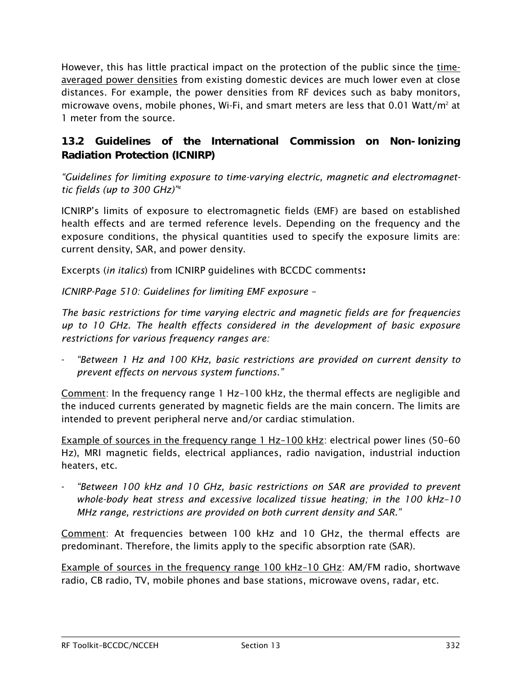However, this has little practical impact on the protection of the public since the timeaveraged power densities from existing domestic devices are much lower even at close distances. For example, the power densities from RF devices such as baby monitors, microwave ovens, mobile phones, Wi-Fi, and smart meters are less that  $0.01$  Watt/m<sup>2</sup> at 1 meter from the source.

## <span id="page-5-0"></span>13.2 Guidelines of the International Commission on Non-Ionizing Radiation Protection (ICNIRP)

*"Guidelines for limiting exposure to time-varying electric, magnetic and electromagnettic fields (up to 300 GHz)["4](#page-10-4)*

ICNIRP's limits of exposure to electromagnetic fields (EMF) are based on established health effects and are termed reference levels. Depending on the frequency and the exposure conditions, the physical quantities used to specify the exposure limits are: current density, SAR, and power density.

Excerpts (*in italics*) from ICNIRP guidelines with BCCDC comments:

*ICNIRP-Page 510: Guidelines for limiting EMF exposure –*

*The basic restrictions for time varying electric and magnetic fields are for frequencies up to 10 GHz. The health effects considered in the development of basic exposure restrictions for various frequency ranges are:*

- *"Between 1 Hz and 100 KHz, basic restrictions are provided on current density to prevent effects on nervous system functions."*

Comment: In the frequency range 1 Hz–100 kHz, the thermal effects are negligible and the induced currents generated by magnetic fields are the main concern. The limits are intended to prevent peripheral nerve and/or cardiac stimulation.

Example of sources in the frequency range 1 Hz-100 kHz: electrical power lines (50-60 Hz), MRI magnetic fields, electrical appliances, radio navigation, industrial induction heaters, etc.

- *"Between 100 kHz and 10 GHz, basic restrictions on SAR are provided to prevent whole-body heat stress and excessive localized tissue heating; in the 100 kHz–10 MHz range, restrictions are provided on both current density and SAR."*

Comment: At frequencies between 100 kHz and 10 GHz, the thermal effects are predominant. Therefore, the limits apply to the specific absorption rate (SAR).

Example of sources in the frequency range 100 kHz-10 GHz: AM/FM radio, shortwave radio, CB radio, TV, mobile phones and base stations, microwave ovens, radar, etc.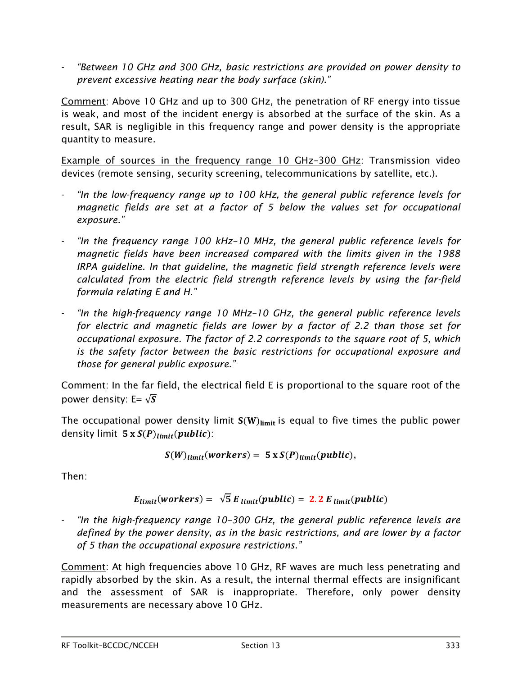- *"Between 10 GHz and 300 GHz, basic restrictions are provided on power density to prevent excessive heating near the body surface (skin)."*

Comment: Above 10 GHz and up to 300 GHz, the penetration of RF energy into tissue is weak, and most of the incident energy is absorbed at the surface of the skin. As a result, SAR is negligible in this frequency range and power density is the appropriate quantity to measure.

Example of sources in the frequency range 10 GHz–300 GHz: Transmission video devices (remote sensing, security screening, telecommunications by satellite, etc.).

- "In the low-frequency range up to 100 kHz, the general public reference levels for *magnetic fields are set at a factor of 5 below the values set for occupational exposure."*
- *"In the frequency range 100 kHz–10 MHz, the general public reference levels for magnetic fields have been increased compared with the limits given in the 1988 IRPA guideline. In that guideline, the magnetic field strength reference levels were calculated from the electric field strength reference levels by using the far-field formula relating E and H."*
- *"In the high-frequency range 10 MHz–10 GHz, the general public reference levels for electric and magnetic fields are lower by a factor of 2.2 than those set for occupational exposure. The factor of 2.2 corresponds to the square root of 5, which is the safety factor between the basic restrictions for occupational exposure and those for general public exposure."*

Comment: In the far field, the electrical field E is proportional to the square root of the power density: E=  $\sqrt{s}$ 

The occupational power density limit  $S(W)_{\text{limit}}$  is equal to five times the public power density limit  $5 x S(P)_{limit}(public)$ :

$$
S(W)_{limit}(works) = 5 \times S(P)_{limit}(public),
$$

Then:

$$
E_{limit}(works) = \sqrt{5} E_{limit}(public) = 2.2 E_{limit}(public)
$$

"In the high-frequency range 10-300 GHz, the general public reference levels are *defined by the power density, as in the basic restrictions, and are lower by a factor of 5 than the occupational exposure restrictions."*

Comment: At high frequencies above 10 GHz, RF waves are much less penetrating and rapidly absorbed by the skin. As a result, the internal thermal effects are insignificant and the assessment of SAR is inappropriate. Therefore, only power density measurements are necessary above 10 GHz.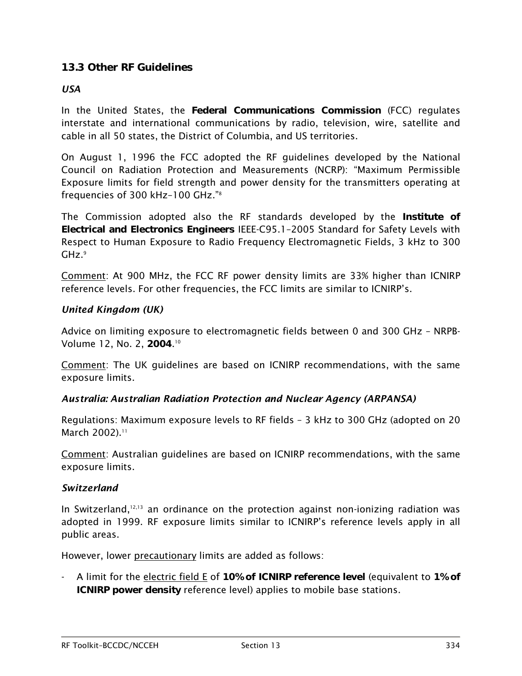## <span id="page-7-0"></span>13.3 Other RF Guidelines

#### <span id="page-7-1"></span>*USA*

In the United States, the Federal Communications Commission (FCC) regulates interstate and international communications by radio, television, wire, satellite and cable in all 50 states, the District of Columbia, and US territories.

On August 1, 1996 the FCC adopted the RF guidelines developed by the National Council on Radiation Protection and Measurements (NCRP): "Maximum Permissible Exposure limits for field strength and power density for the transmitters operating at frequencies of 300 kHz–100 GHz.["8](#page-10-8)

The Commission adopted also the RF standards developed by the Institute of Electrical and Electronics Engineers IEEE-C95.1–2005 Standard for Safety Levels with Respect to Human Exposure to Radio Frequency Electromagnetic Fields, 3 kHz to 300  $GHz.^9$ 

Comment: At 900 MHz, the FCC RF power density limits are 33% higher than ICNIRP reference levels. For other frequencies, the FCC limits are similar to ICNIRP's.

#### <span id="page-7-2"></span>*United Kingdom (UK)*

Advice on limiting exposure to electromagnetic fields between 0 and 300 GHz – NRPB-Volume 12, No. 2, 2004. [10](#page-11-1)

Comment: The UK guidelines are based on ICNIRP recommendations, with the same exposure limits.

#### <span id="page-7-3"></span>*Australia: Australian Radiation Protection and Nuclear Agency (ARPANSA)*

Regulations: Maximum exposure levels to RF fields – 3 kHz to 300 GHz (adopted on 20 March 2002).<sup>[11](#page-11-2)</sup>

Comment: Australian guidelines are based on ICNIRP recommendations, with the same exposure limits.

#### <span id="page-7-4"></span>*Switzerland*

In Switzerland, [12,](#page-11-3)[13](#page-11-4) an ordinance on the protection against non-ionizing radiation was adopted in 1999. RF exposure limits similar to ICNIRP's reference levels apply in all public areas.

However, lower precautionary limits are added as follows:

A limit for the electric field E of 10% of ICNIRP reference level (equivalent to 1% of ICNIRP power density reference level) applies to mobile base stations.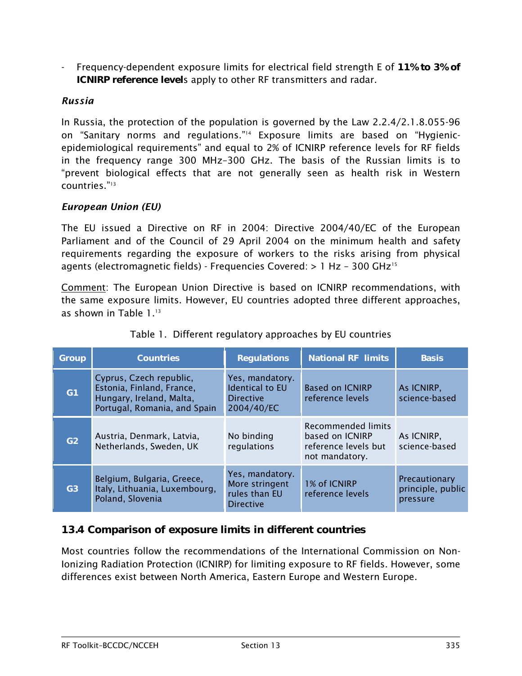Frequency-dependent exposure limits for electrical field strength E of 11% to 3% of ICNIRP reference levels apply to other RF transmitters and radar.

## <span id="page-8-0"></span>*Russia*

In Russia, the protection of the population is governed by the Law 2.2.4/2.1.8.055-96 on "Sanitary norms and regulations.["14](#page-11-5) Exposure limits are based on "Hygienicepidemiological requirements" and equal to 2% of ICNIRP reference levels for RF fields in the frequency range 300 MHz–300 GHz. The basis of the Russian limits is to "prevent biological effects that are not generally seen as health risk in Western countries.["13](#page-11-4)

#### <span id="page-8-1"></span>*European Union (EU)*

The EU issued a Directive on RF in 2004: Directive 2004/40/EC of the European Parliament and of the Council of 29 April 2004 on the minimum health and safety requirements regarding the exposure of workers to the risks arising from physical agents (electromagnetic fields) - Frequencies Covered: > 1 Hz – 300 GH[z15](#page-11-6)

Comment: The European Union Directive is based on ICNIRP recommendations, with the same exposure limits. However, EU countries adopted three different approaches, as shown in Table 1. [13](#page-11-4)

| Group          | <b>Countries</b>                                                                                                 | <b>Regulations</b>                                                          | <b>National RF limits</b>                                                       | <b>Basis</b>                                   |
|----------------|------------------------------------------------------------------------------------------------------------------|-----------------------------------------------------------------------------|---------------------------------------------------------------------------------|------------------------------------------------|
| G <sub>1</sub> | Cyprus, Czech republic,<br>Estonia, Finland, France,<br>Hungary, Ireland, Malta,<br>Portugal, Romania, and Spain | Yes, mandatory.<br><b>Identical to EU</b><br><b>Directive</b><br>2004/40/EC | <b>Based on ICNIRP</b><br>reference levels                                      | As ICNIRP.<br>science-based                    |
| G2             | Austria, Denmark, Latvia,<br>Netherlands, Sweden, UK                                                             | No binding<br>regulations                                                   | Recommended limits<br>based on ICNIRP<br>reference levels but<br>not mandatory. | As ICNIRP.<br>science-based                    |
| G3             | Belgium, Bulgaria, Greece,<br>Italy, Lithuania, Luxembourg,<br>Poland, Slovenia                                  | Yes, mandatory.<br>More stringent<br>rules than EU<br><b>Directive</b>      | 1% of ICNIRP<br>reference levels                                                | Precautionary<br>principle, public<br>pressure |

## Table 1. Different regulatory approaches by EU countries

## <span id="page-8-2"></span>13.4 Comparison of exposure limits in different countries

Most countries follow the recommendations of the International Commission on Non-Ionizing Radiation Protection (ICNIRP) for limiting exposure to RF fields. However, some differences exist between North America, Eastern Europe and Western Europe.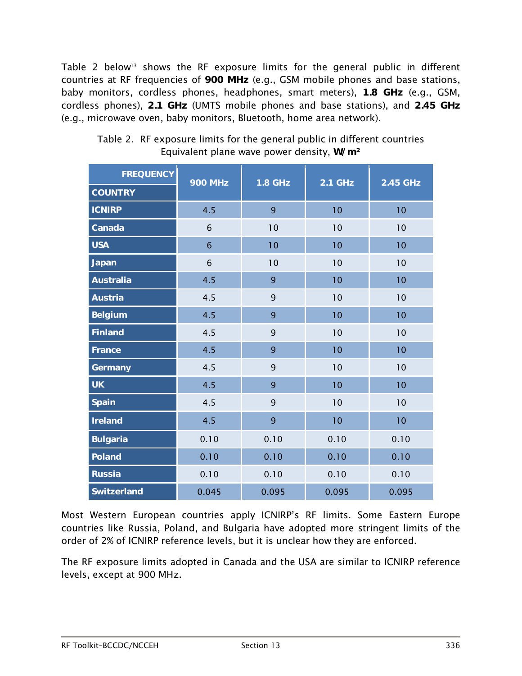Table 2 below<sup>13</sup> shows the RF exposure limits for the general public in different countries at RF frequencies of 900 MHz (e.g., GSM mobile phones and base stations, baby monitors, cordless phones, headphones, smart meters), 1.8 GHz (e.g., GSM, cordless phones), 2.1 GHz (UMTS mobile phones and base stations), and 2.45 GHz (e.g., microwave oven, baby monitors, Bluetooth, home area network).

| <b>FREQUENCY</b>   | <b>900 MHz</b> | <b>1.8 GHz</b> | <b>2.1 GHz</b> | 2.45 GHz |  |
|--------------------|----------------|----------------|----------------|----------|--|
| <b>COUNTRY</b>     |                |                |                |          |  |
| <b>ICNIRP</b>      | 4.5            | 9              | 10             | 10       |  |
| Canada             | 6              | 10             | 10             | 10       |  |
| <b>USA</b>         | $6\phantom{1}$ | 10             | 10             | 10       |  |
| Japan              | 6              | 10             | 10             | 10       |  |
| <b>Australia</b>   | 4.5            | 9              | 10             | 10       |  |
| <b>Austria</b>     | 4.5            | 9              | 10             | 10       |  |
| <b>Belgium</b>     | 4.5            | 9              | 10             | 10       |  |
| <b>Finland</b>     | 4.5            | 9              | 10             | 10       |  |
| France             | 4.5            | 9              | 10             | 10       |  |
| Germany            | 4.5            | 9              | 10             | 10       |  |
| <b>UK</b>          | 4.5            | 9              | 10             | 10       |  |
| <b>Spain</b>       | 4.5            | 9              | 10             | 10       |  |
| <b>Ireland</b>     | 4.5            | 9              | 10             | 10       |  |
| <b>Bulgaria</b>    | 0.10           | 0.10           | 0.10           | 0.10     |  |
| <b>Poland</b>      | 0.10           | 0.10           | 0.10           | 0.10     |  |
| <b>Russia</b>      | 0.10           | 0.10           | 0.10           | 0.10     |  |
| <b>Switzerland</b> | 0.045          | 0.095          | 0.095          | 0.095    |  |

Table 2. RF exposure limits for the general public in different countries Equivalent plane wave power density, W/m²

Most Western European countries apply ICNIRP's RF limits. Some Eastern Europe countries like Russia, Poland, and Bulgaria have adopted more stringent limits of the order of 2% of ICNIRP reference levels, but it is unclear how they are enforced.

The RF exposure limits adopted in Canada and the USA are similar to ICNIRP reference levels, except at 900 MHz.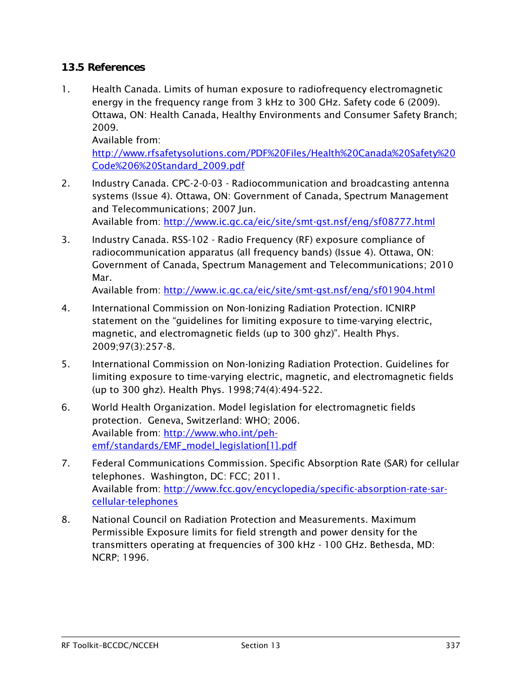## <span id="page-10-0"></span>13.5 References

<span id="page-10-1"></span>1. Health Canada. Limits of human exposure to radiofrequency electromagnetic energy in the frequency range from 3 kHz to 300 GHz. Safety code 6 (2009). Ottawa, ON: Health Canada, Healthy Environments and Consumer Safety Branch; 2009.

Available from: [http://www.rfsafetysolutions.com/PDF%20Files/Health%20Canada%20Safety%20](http://www.rfsafetysolutions.com/PDF%20Files/Health%20Canada%20Safety%20Code%206%20Standard_2009.pdf) [Code%206%20Standard\\_2009.pdf](http://www.rfsafetysolutions.com/PDF%20Files/Health%20Canada%20Safety%20Code%206%20Standard_2009.pdf)

- <span id="page-10-2"></span>2. Industry Canada. CPC-2-0-03 - Radiocommunication and broadcasting antenna systems (Issue 4). Ottawa, ON: Government of Canada, Spectrum Management and Telecommunications; 2007 Jun. Available from:<http://www.ic.gc.ca/eic/site/smt-gst.nsf/eng/sf08777.html>
- <span id="page-10-3"></span>3. Industry Canada. RSS-102 - Radio Frequency (RF) exposure compliance of radiocommunication apparatus (all frequency bands) (Issue 4). Ottawa, ON: Government of Canada, Spectrum Management and Telecommunications; 2010 Mar.

Available from:<http://www.ic.gc.ca/eic/site/smt-gst.nsf/eng/sf01904.html>

- <span id="page-10-4"></span>4. International Commission on Non-Ionizing Radiation Protection. ICNIRP statement on the "guidelines for limiting exposure to time-varying electric, magnetic, and electromagnetic fields (up to 300 ghz)". Health Phys. 2009;97(3):257-8.
- <span id="page-10-5"></span>5. International Commission on Non-Ionizing Radiation Protection. Guidelines for limiting exposure to time-varying electric, magnetic, and electromagnetic fields (up to 300 ghz). Health Phys. 1998;74(4):494-522.
- <span id="page-10-6"></span>6. World Health Organization. Model legislation for electromagnetic fields protection. Geneva, Switzerland: WHO; 2006. Available from: [http://www.who.int/peh](http://www.who.int/peh-emf/standards/EMF_model_legislation%5b1%5d.pdf)[emf/standards/EMF\\_model\\_legislation\[1\].pdf](http://www.who.int/peh-emf/standards/EMF_model_legislation%5b1%5d.pdf)
- <span id="page-10-7"></span>7. Federal Communications Commission. Specific Absorption Rate (SAR) for cellular telephones. Washington, DC: FCC; 2011. Available from: [http://www.fcc.gov/encyclopedia/specific-absorption-rate-sar](http://www.fcc.gov/encyclopedia/specific-absorption-rate-sar-cellular-telephones)[cellular-telephones](http://www.fcc.gov/encyclopedia/specific-absorption-rate-sar-cellular-telephones)
- <span id="page-10-8"></span>8. National Council on Radiation Protection and Measurements. Maximum Permissible Exposure limits for field strength and power density for the transmitters operating at frequencies of 300 kHz - 100 GHz. Bethesda, MD: NCRP; 1996.